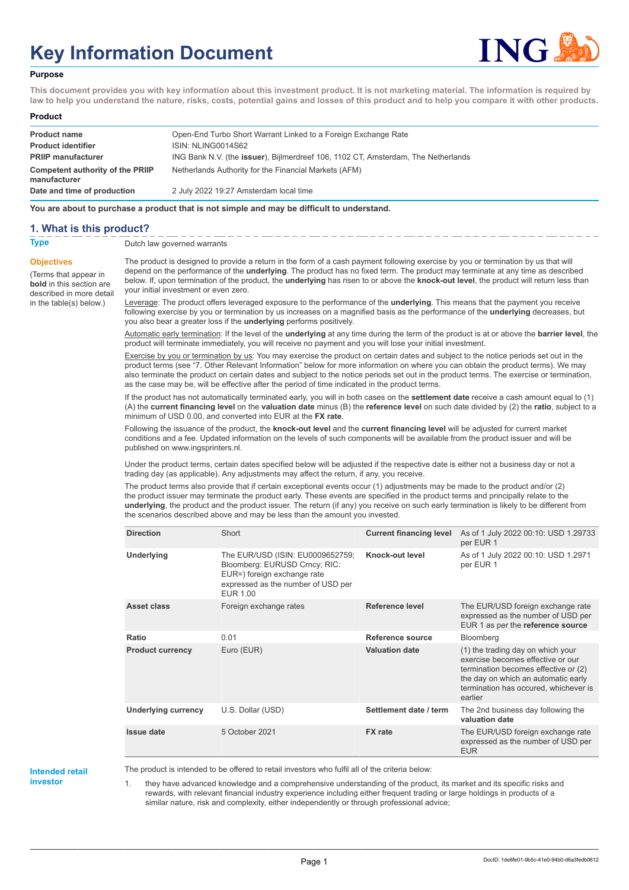# **Key Information Document**



#### **Purpose**

**This document provides you with key information about this investment product. It is not marketing material. The information is required by law to help you understand the nature, risks, costs, potential gains and losses of this product and to help you compare it with other products.**

#### **Product**

| <b>Product name</b><br><b>Product identifier</b>        | Open-End Turbo Short Warrant Linked to a Foreign Exchange Rate<br>ISIN: NLING0014S62 |
|---------------------------------------------------------|--------------------------------------------------------------------------------------|
| <b>PRIIP manufacturer</b>                               | ING Bank N.V. (the issuer), Bijlmerdreef 106, 1102 CT, Amsterdam, The Netherlands    |
| <b>Competent authority of the PRIIP</b><br>manufacturer | Netherlands Authority for the Financial Markets (AFM)                                |
| Date and time of production                             | 2 July 2022 19:27 Amsterdam local time                                               |

**You are about to purchase a product that is not simple and may be difficult to understand.**

#### **1. What is this product?**

**Objectives**

(Terms that appear in **bold** in this section are

in the table(s) below.)

**Type** Dutch law governed warrants

described in more detail The product is designed to provide a return in the form of a cash payment following exercise by you or termination by us that will depend on the performance of the **underlying**. The product has no fixed term. The product may terminate at any time as described below. If, upon termination of the product, the **underlying** has risen to or above the **knock-out level**, the product will return less than your initial investment or even zero.

> Leverage: The product offers leveraged exposure to the performance of the **underlying**. This means that the payment you receive following exercise by you or termination by us increases on a magnified basis as the performance of the **underlying** decreases, but you also bear a greater loss if the **underlying** performs positively.

Automatic early termination: If the level of the **underlying** at any time during the term of the product is at or above the **barrier level**, the product will terminate immediately, you will receive no payment and you will lose your initial investment.

Exercise by you or termination by us: You may exercise the product on certain dates and subject to the notice periods set out in the product terms (see "7. Other Relevant Information" below for more information on where you can obtain the product terms). We may also terminate the product on certain dates and subject to the notice periods set out in the product terms. The exercise or termination, as the case may be, will be effective after the period of time indicated in the product terms.

If the product has not automatically terminated early, you will in both cases on the **settlement date** receive a cash amount equal to (1) (A) the **current financing level** on the **valuation date** minus (B) the **reference level** on such date divided by (2) the **ratio**, subject to a minimum of USD 0.00, and converted into EUR at the **FX rate**.

Following the issuance of the product, the **knock-out level** and the **current financing level** will be adjusted for current market conditions and a fee. Updated information on the levels of such components will be available from the product issuer and will be published on www.ingsprinters.nl.

Under the product terms, certain dates specified below will be adjusted if the respective date is either not a business day or not a trading day (as applicable). Any adjustments may affect the return, if any, you receive.

The product terms also provide that if certain exceptional events occur (1) adjustments may be made to the product and/or (2) the product issuer may terminate the product early. These events are specified in the product terms and principally relate to the **underlying**, the product and the product issuer. The return (if any) you receive on such early termination is likely to be different from the scenarios described above and may be less than the amount you invested.

| <b>Direction</b>           | Short                                                                                                                                              | <b>Current financing level</b> | As of 1 July 2022 00:10: USD 1.29733<br>per EUR 1                                                                                                                                                         |
|----------------------------|----------------------------------------------------------------------------------------------------------------------------------------------------|--------------------------------|-----------------------------------------------------------------------------------------------------------------------------------------------------------------------------------------------------------|
| Underlying                 | The EUR/USD (ISIN: EU0009652759;<br>Bloomberg: EURUSD Crncy; RIC:<br>EUR=) foreign exchange rate<br>expressed as the number of USD per<br>EUR 1.00 | Knock-out level                | As of 1 July 2022 00:10: USD 1.2971<br>per EUR 1                                                                                                                                                          |
| Asset class                | Foreign exchange rates                                                                                                                             | Reference level                | The EUR/USD foreign exchange rate<br>expressed as the number of USD per<br>EUR 1 as per the reference source                                                                                              |
| Ratio                      | 0.01                                                                                                                                               | Reference source               | Bloomberg                                                                                                                                                                                                 |
| <b>Product currency</b>    | Euro (EUR)                                                                                                                                         | <b>Valuation date</b>          | (1) the trading day on which your<br>exercise becomes effective or our<br>termination becomes effective or (2)<br>the day on which an automatic early<br>termination has occured, whichever is<br>earlier |
| <b>Underlying currency</b> | U.S. Dollar (USD)                                                                                                                                  | Settlement date / term         | The 2nd business day following the<br>valuation date                                                                                                                                                      |
| <b>Issue date</b>          | 5 October 2021                                                                                                                                     | <b>FX</b> rate                 | The EUR/USD foreign exchange rate<br>expressed as the number of USD per<br><b>EUR</b>                                                                                                                     |

# **Intended retail**

**investor**

The product is intended to be offered to retail investors who fulfil all of the criteria below:

1. they have advanced knowledge and a comprehensive understanding of the product, its market and its specific risks and rewards, with relevant financial industry experience including either frequent trading or large holdings in products of a similar nature, risk and complexity, either independently or through professional advice;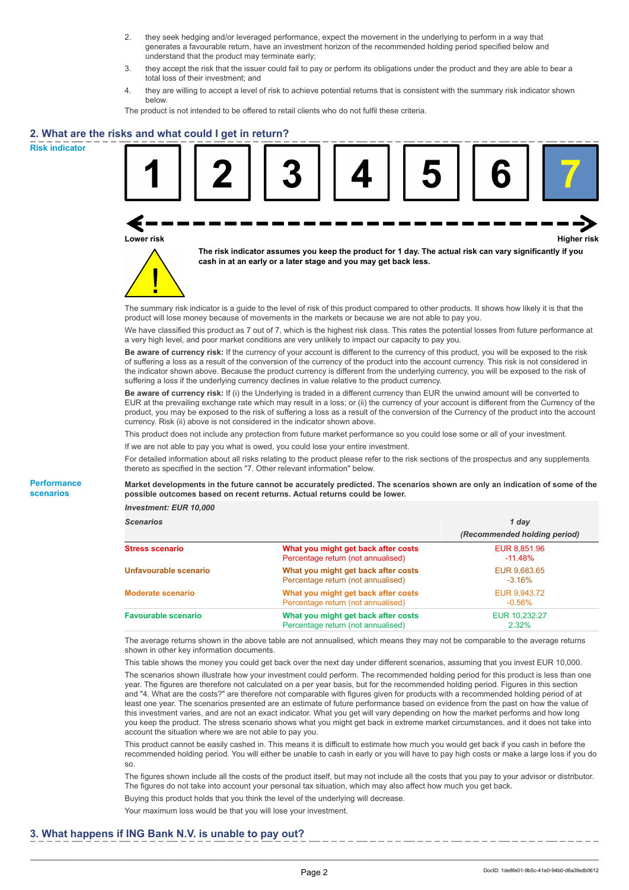- 2. they seek hedging and/or leveraged performance, expect the movement in the underlying to perform in a way that generates a favourable return, have an investment horizon of the recommended holding period specified below and understand that the product may terminate early;
- 3. they accept the risk that the issuer could fail to pay or perform its obligations under the product and they are able to bear a total loss of their investment; and
- 4. they are willing to accept a level of risk to achieve potential returns that is consistent with the summary risk indicator shown below.

The product is not intended to be offered to retail clients who do not fulfil these criteria.

### **2. What are the risks and what could I get in return?**

**Risk indicator**

**Performance scenarios**





**The risk indicator assumes you keep the product for 1 day. The actual risk can vary significantly if you cash in at an early or a later stage and you may get back less.**

The summary risk indicator is a guide to the level of risk of this product compared to other products. It shows how likely it is that the product will lose money because of movements in the markets or because we are not able to pay you.

We have classified this product as 7 out of 7, which is the highest risk class. This rates the potential losses from future performance at a very high level, and poor market conditions are very unlikely to impact our capacity to pay you.

**Be aware of currency risk:** If the currency of your account is different to the currency of this product, you will be exposed to the risk of suffering a loss as a result of the conversion of the currency of the product into the account currency. This risk is not considered in the indicator shown above. Because the product currency is different from the underlying currency, you will be exposed to the risk of suffering a loss if the underlying currency declines in value relative to the product currency.

**Be aware of currency risk:** If (i) the Underlying is traded in a different currency than EUR the unwind amount will be converted to EUR at the prevailing exchange rate which may result in a loss; or (ii) the currency of your account is different from the Currency of the product, you may be exposed to the risk of suffering a loss as a result of the conversion of the Currency of the product into the account currency. Risk (ii) above is not considered in the indicator shown above.

This product does not include any protection from future market performance so you could lose some or all of your investment.

If we are not able to pay you what is owed, you could lose your entire investment.

For detailed information about all risks relating to the product please refer to the risk sections of the prospectus and any supplements thereto as specified in the section "7. Other relevant information" below.

**Market developments in the future cannot be accurately predicted. The scenarios shown are only an indication of some of the possible outcomes based on recent returns. Actual returns could be lower.**

*Investment: EUR 10,000*

| <b>Scenarios</b>           |                                                                           | 1 day                        |  |
|----------------------------|---------------------------------------------------------------------------|------------------------------|--|
|                            |                                                                           | (Recommended holding period) |  |
| Stress scenario            | What you might get back after costs<br>Percentage return (not annualised) | EUR 8,851.96<br>$-11.48%$    |  |
| Unfavourable scenario      | What you might get back after costs<br>Percentage return (not annualised) | EUR 9,683.65<br>$-3.16\%$    |  |
| <b>Moderate scenario</b>   | What you might get back after costs<br>Percentage return (not annualised) | EUR 9.943.72<br>$-0.56\%$    |  |
| <b>Favourable scenario</b> | What you might get back after costs<br>Percentage return (not annualised) | EUR 10.232.27<br>2.32%       |  |

The average returns shown in the above table are not annualised, which means they may not be comparable to the average returns shown in other key information documents.

This table shows the money you could get back over the next day under different scenarios, assuming that you invest EUR 10,000. The scenarios shown illustrate how your investment could perform. The recommended holding period for this product is less than one year. The figures are therefore not calculated on a per year basis, but for the recommended holding period. Figures in this section and "4. What are the costs?" are therefore not comparable with figures given for products with a recommended holding period of at least one year. The scenarios presented are an estimate of future performance based on evidence from the past on how the value of this investment varies, and are not an exact indicator. What you get will vary depending on how the market performs and how long you keep the product. The stress scenario shows what you might get back in extreme market circumstances, and it does not take into account the situation where we are not able to pay you.

This product cannot be easily cashed in. This means it is difficult to estimate how much you would get back if you cash in before the recommended holding period. You will either be unable to cash in early or you will have to pay high costs or make a large loss if you do so.

The figures shown include all the costs of the product itself, but may not include all the costs that you pay to your advisor or distributor. The figures do not take into account your personal tax situation, which may also affect how much you get back.

Buying this product holds that you think the level of the underlying will decrease.

Your maximum loss would be that you will lose your investment.

#### **3. What happens if ING Bank N.V. is unable to pay out?**